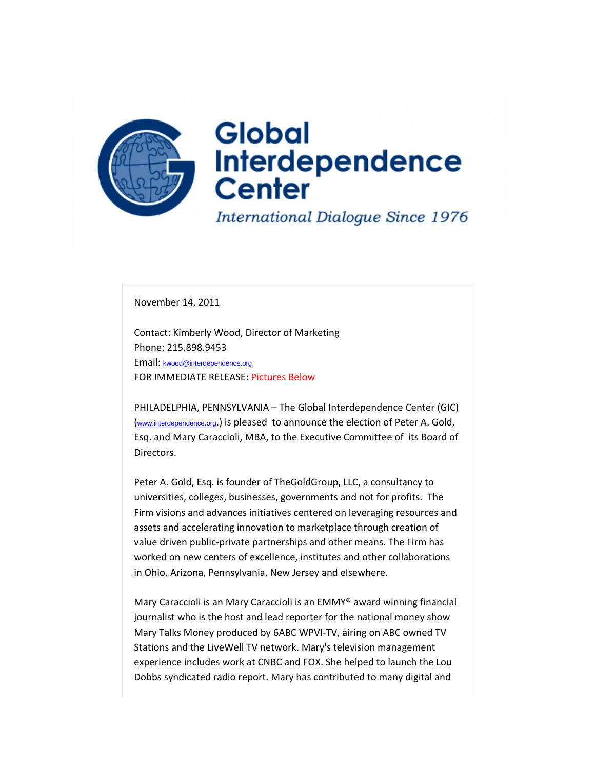

November 14, 2011

Contact: Kimberly Wood, Director of Marketing Phone: 215.898.9453 Email: kwood@interdependence.org FOR IMMEDIATE RELEASE: Pictures Below

PHILADELPHIA, PENNSYLVANIA – The Global Interdependence Center (GIC) (www.interdependence.org.) is pleased to announce the election of Peter A. Gold, Esq. and Mary Caraccioli, MBA, to the Executive Committee of its Board of Directors.

Peter A. Gold, Esq. is founder of TheGoldGroup, LLC, a consultancy to universities, colleges, businesses, governments and not for profits. The Firm visions and advances initiatives centered on leveraging resources and assets and accelerating innovation to marketplace through creation of value driven public-private partnerships and other means. The Firm has worked on new centers of excellence, institutes and other collaborations in Ohio, Arizona, Pennsylvania, New Jersey and elsewhere.

Mary Caraccioli is an Mary Caraccioli is an EMMY® award winning financial journalist who is the host and lead reporter for the national money show Mary Talks Money produced by 6ABC WPVI‐TV, airing on ABC owned TV Stations and the LiveWell TV network. Mary's television management experience includes work at CNBC and FOX. She helped to launch the Lou Dobbs syndicated radio report. Mary has contributed to many digital and